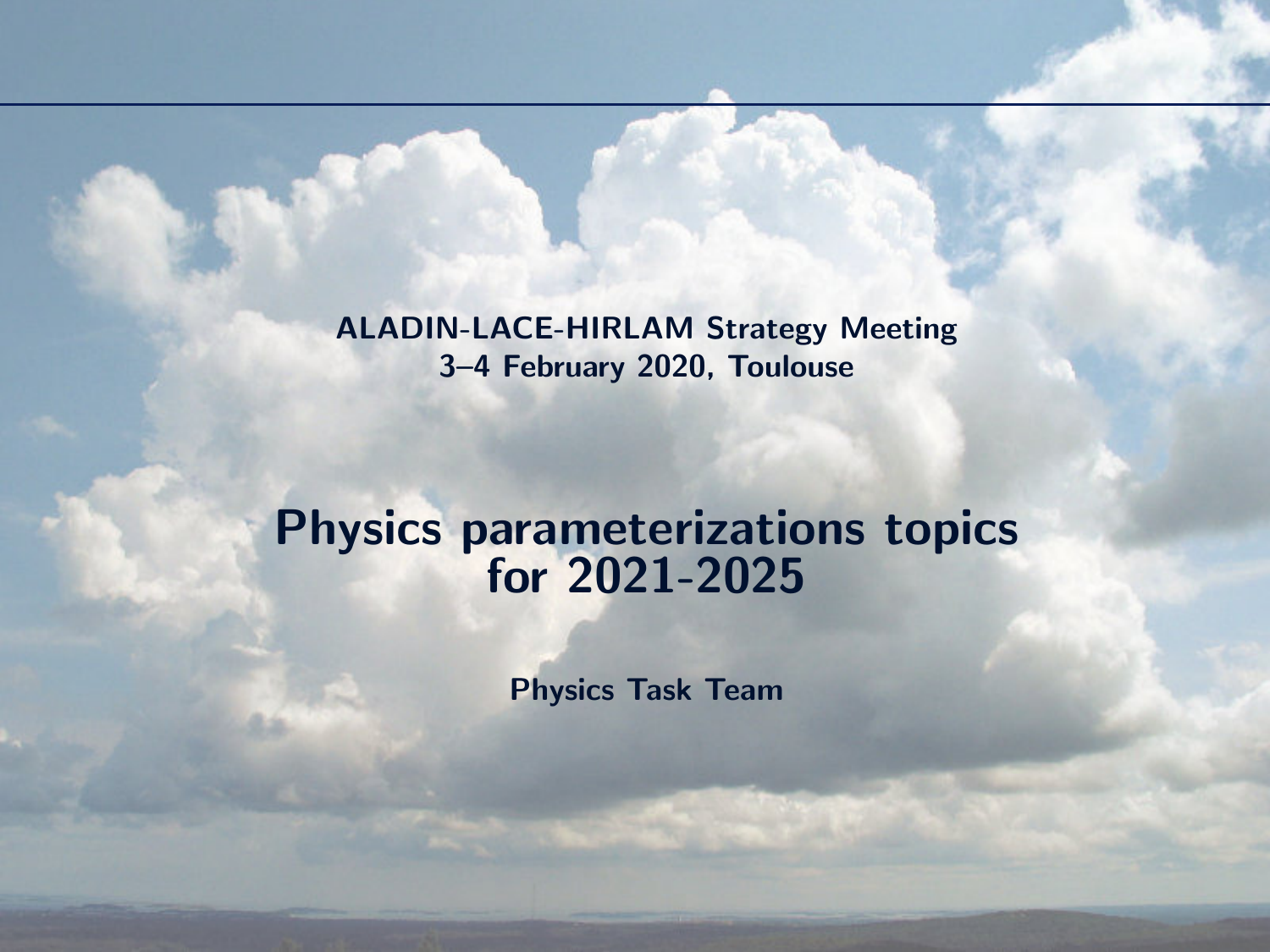ALADIN-LACE-HIRLAM Strategy Meeting 3–4 February 2020, Toulouse

## Physics parameterizations topics for 2021-2025

Physics Task Team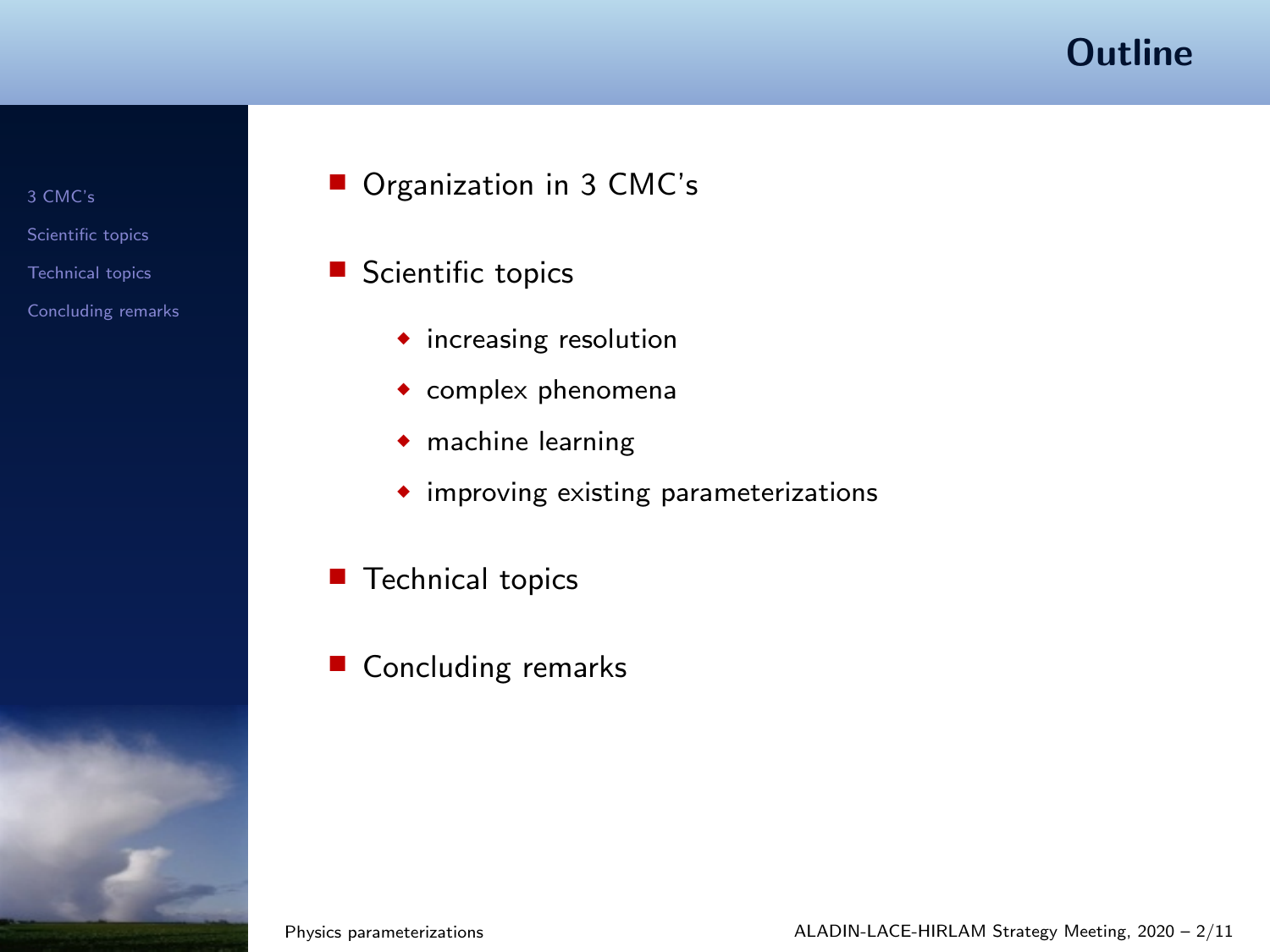#### **Outline**

- [3 CMC's](#page-2-0)
- [Scientific topics](#page-3-0)
- [Technical topics](#page-12-0)
- [Concluding remarks](#page-13-0)
- Organization in 3 CMC's
- Scientific topics
	- ◆ increasing resolution
	- ◆ complex phenomena
	- ◆ machine learning
	- ◆ improving existing parameterizations
- Technical topics
- Concluding remarks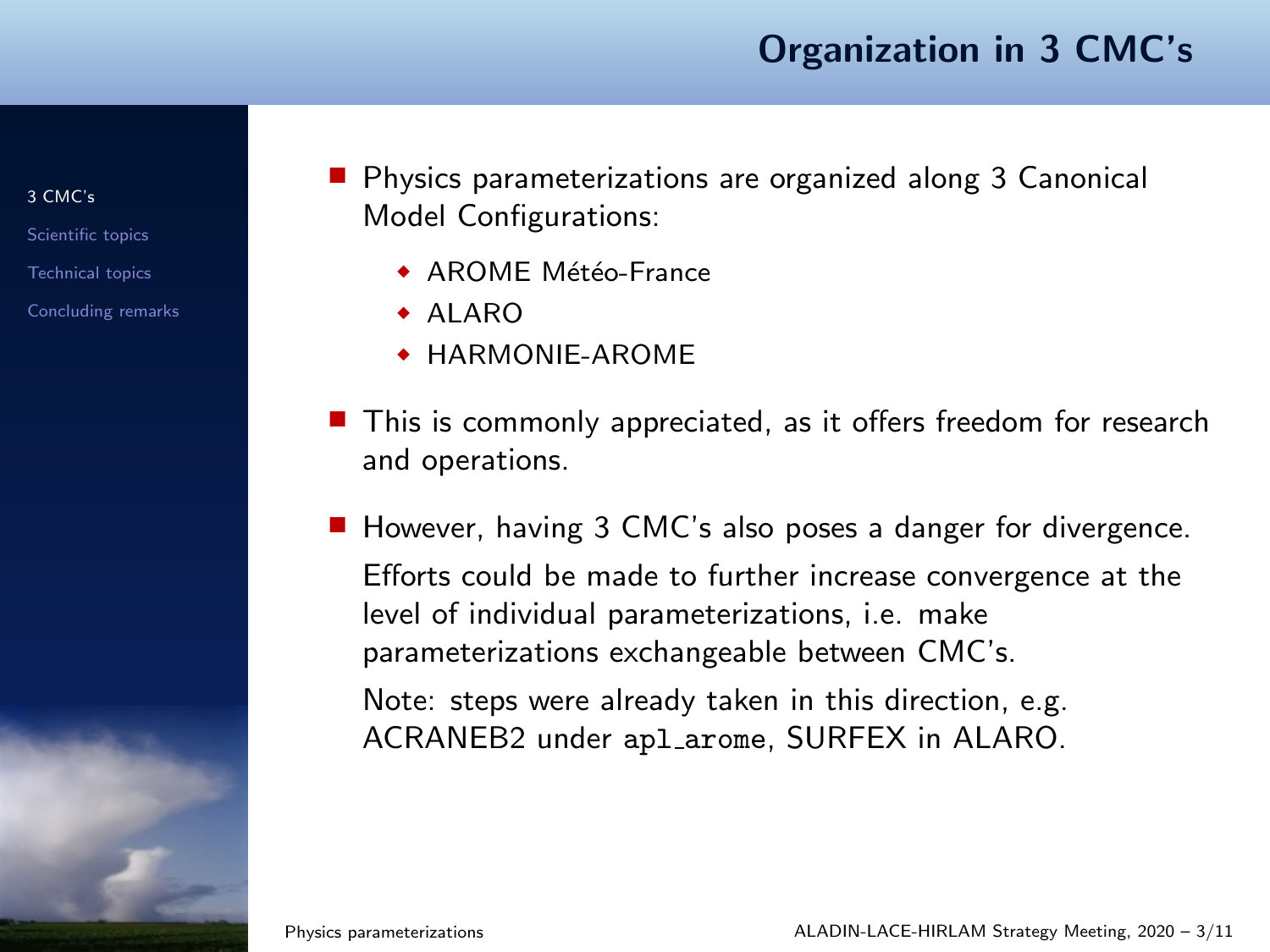#### Organization in 3 CMC's

[3 CMC's](#page-2-0)

[Scientific topics](#page-3-0)

[Technical topics](#page-12-0)

[Concluding remarks](#page-13-0)

<span id="page-2-0"></span>■ Physics parameterizations are organized along 3 Canonical Model Configurations:

- $\triangle$  AROME Météo-France
- ◆ ALARO
- ◆ HARMONIE-AROME
- This is commonly appreciated, as it offers freedom for research and operations.
- However, having 3 CMC's also poses a danger for divergence. Efforts could be made to further increase convergence at the level of individual parameterizations, i.e. make parameterizations exchangeable between CMC's. Note: steps were already taken in this direction, e.g. ACRANEB2 under apl arome, SURFEX in ALARO.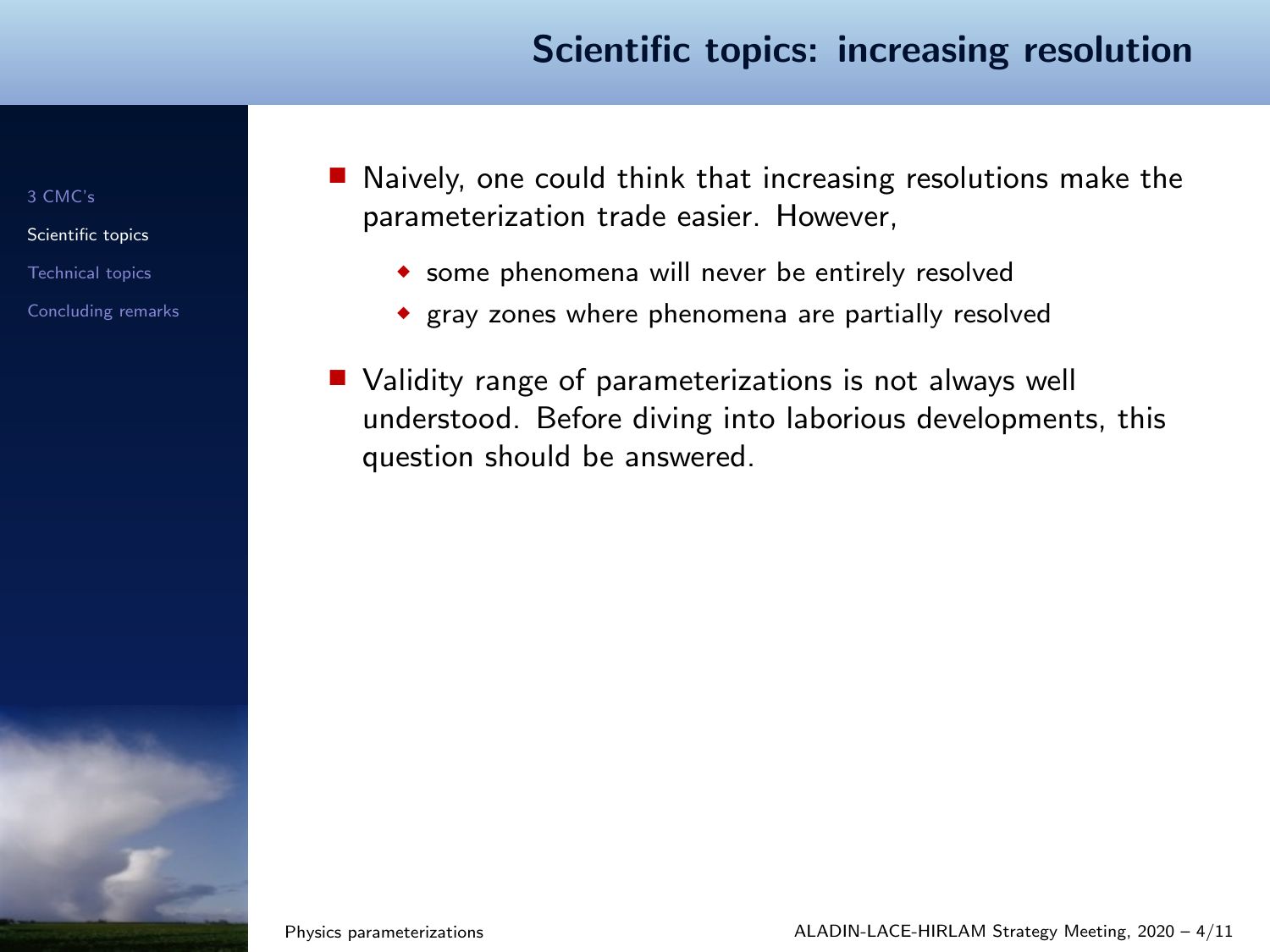[3 CMC's](#page-2-0)

[Scientific topics](#page-3-0)

[Technical topics](#page-12-0)

- <span id="page-3-0"></span>■ Naively, one could think that increasing resolutions make the parameterization trade easier. However,
	- ◆ some phenomena will never be entirely resolved
	- ◆ gray zones where phenomena are partially resolved
- Validity range of parameterizations is not always well understood. Before diving into laborious developments, this question should be answered.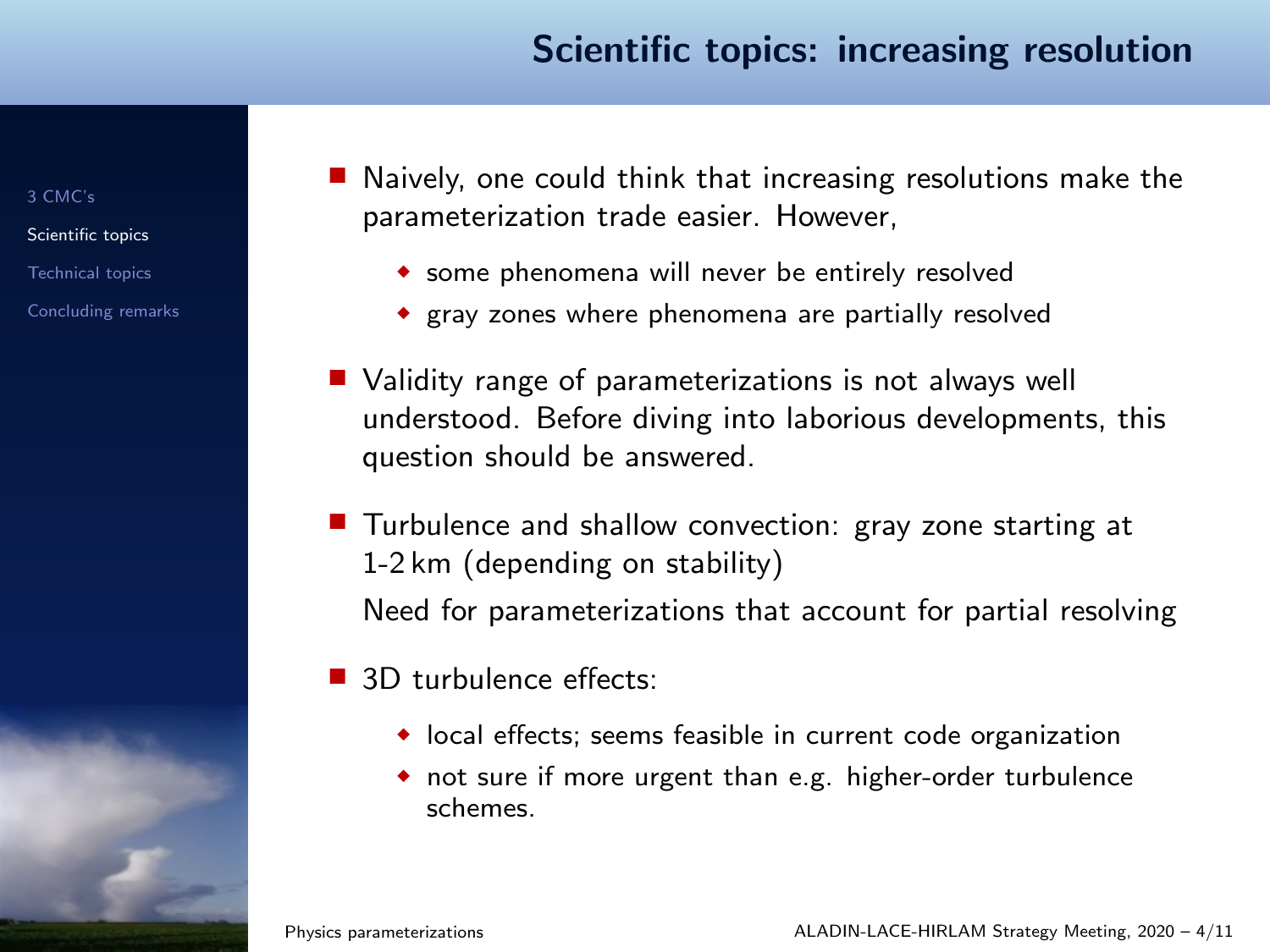[3 CMC's](#page-2-0)

[Scientific topics](#page-3-0) [Technical topics](#page-12-0)

- Naively, one could think that increasing resolutions make the parameterization trade easier. However,
	- ◆ some phenomena will never be entirely resolved
	- ◆ gray zones where phenomena are partially resolved
- Validity range of parameterizations is not always well understood. Before diving into laborious developments, this question should be answered.
- Turbulence and shallow convection: gray zone starting at 1-2 km (depending on stability) Need for parameterizations that account for partial resolving
- 3D turbulence effects:
	- ◆ local effects; seems feasible in current code organization
	- ◆ not sure if more urgent than e.g. higher-order turbulence schemes.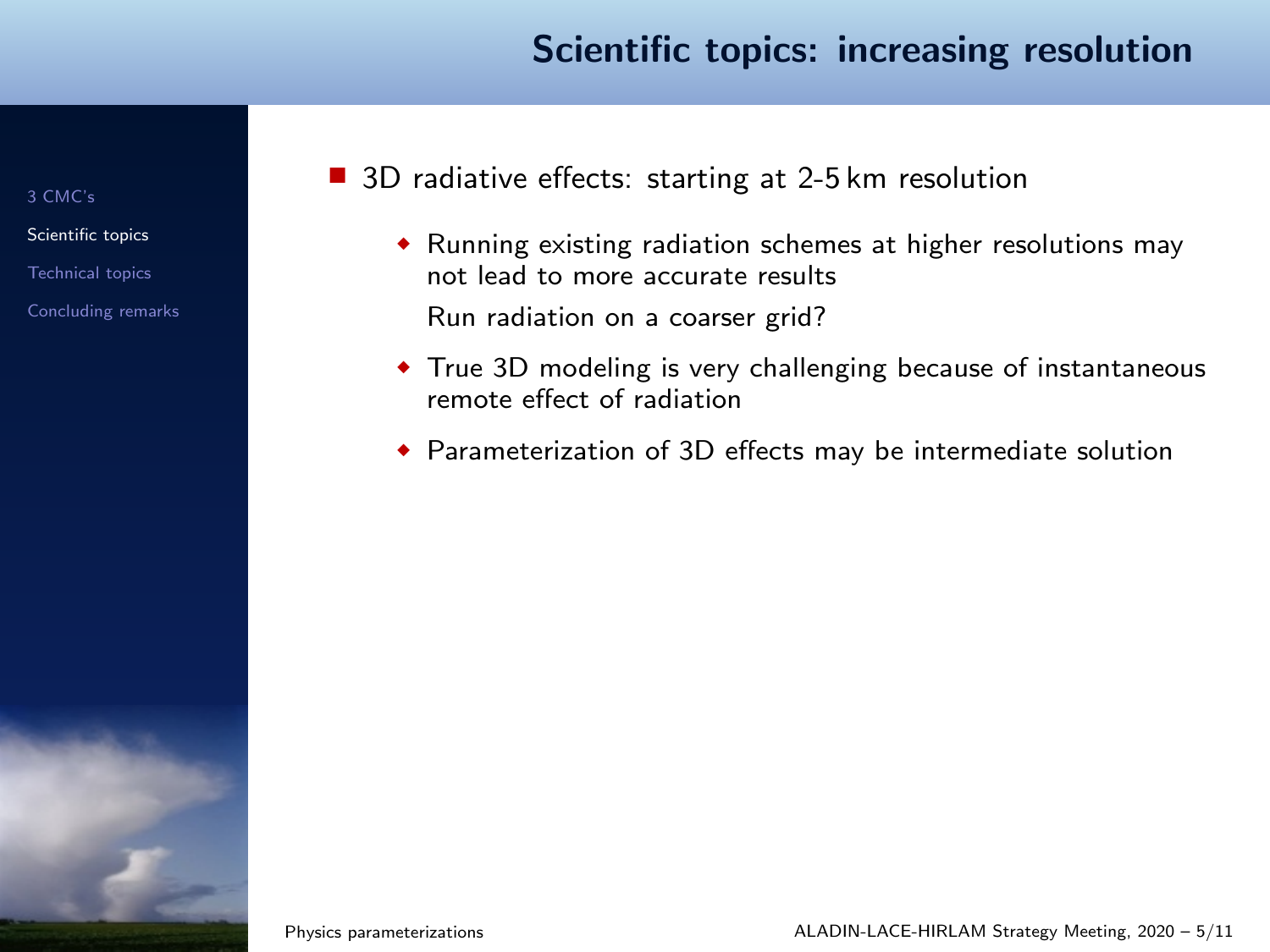[3 CMC's](#page-2-0)

[Scientific topics](#page-3-0)

[Technical topics](#page-12-0)

- 3D radiative effects: starting at 2-5 km resolution
	- ◆ Running existing radiation schemes at higher resolutions may not lead to more accurate results Run radiation on a coarser grid?
	- ◆ True 3D modeling is very challenging because of instantaneous remote effect of radiation
	- ◆ Parameterization of 3D effects may be intermediate solution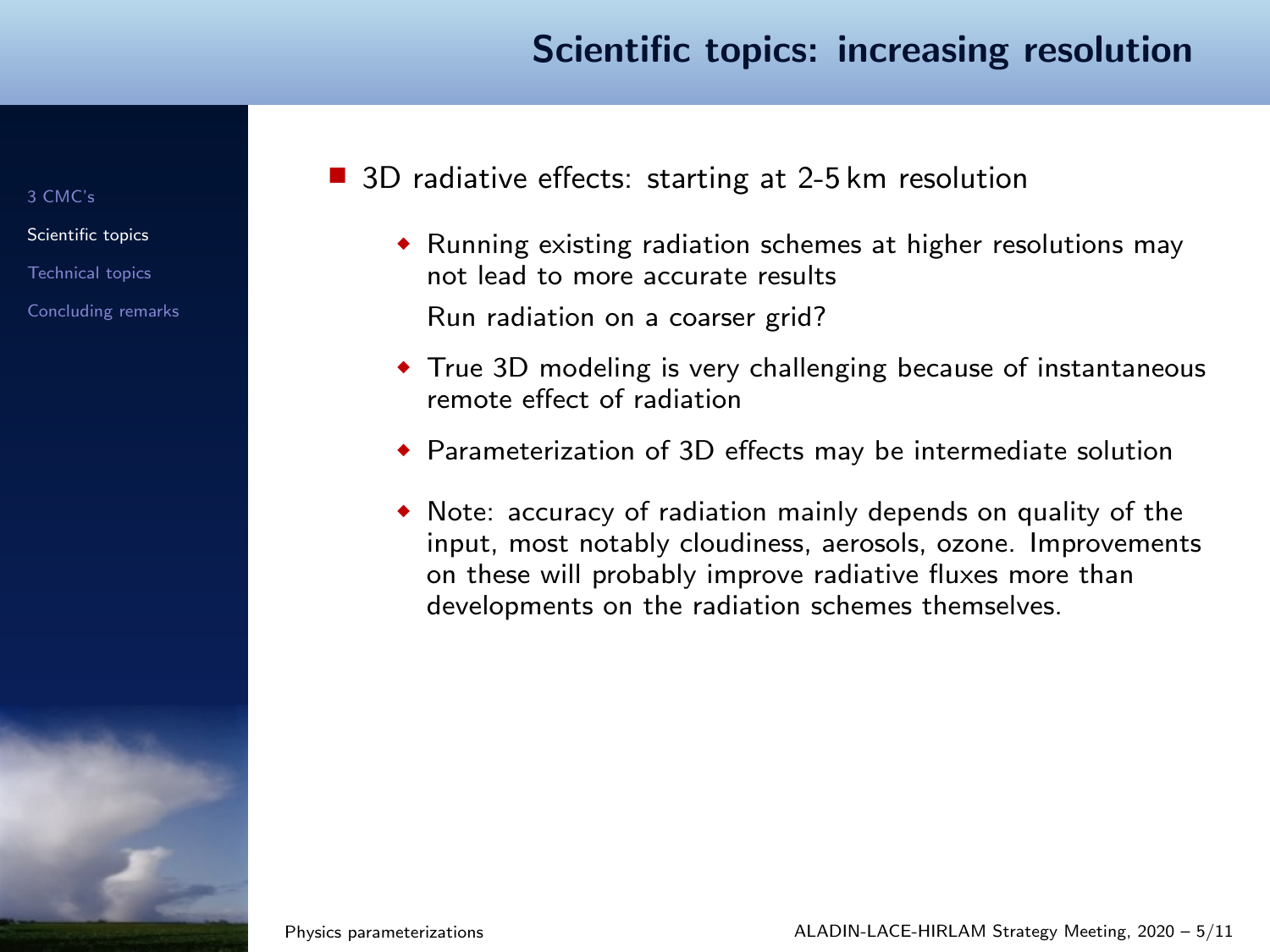[3 CMC's](#page-2-0)

[Scientific topics](#page-3-0)

[Technical topics](#page-12-0)

[Concluding remarks](#page-13-0)

■ 3D radiative effects: starting at 2-5 km resolution

- ◆ Running existing radiation schemes at higher resolutions may not lead to more accurate results Run radiation on a coarser grid?
- ◆ True 3D modeling is very challenging because of instantaneous remote effect of radiation
- ◆ Parameterization of 3D effects may be intermediate solution
- ◆ Note: accuracy of radiation mainly depends on quality of the input, most notably cloudiness, aerosols, ozone. Improvements on these will probably improve radiative fluxes more than developments on the radiation schemes themselves.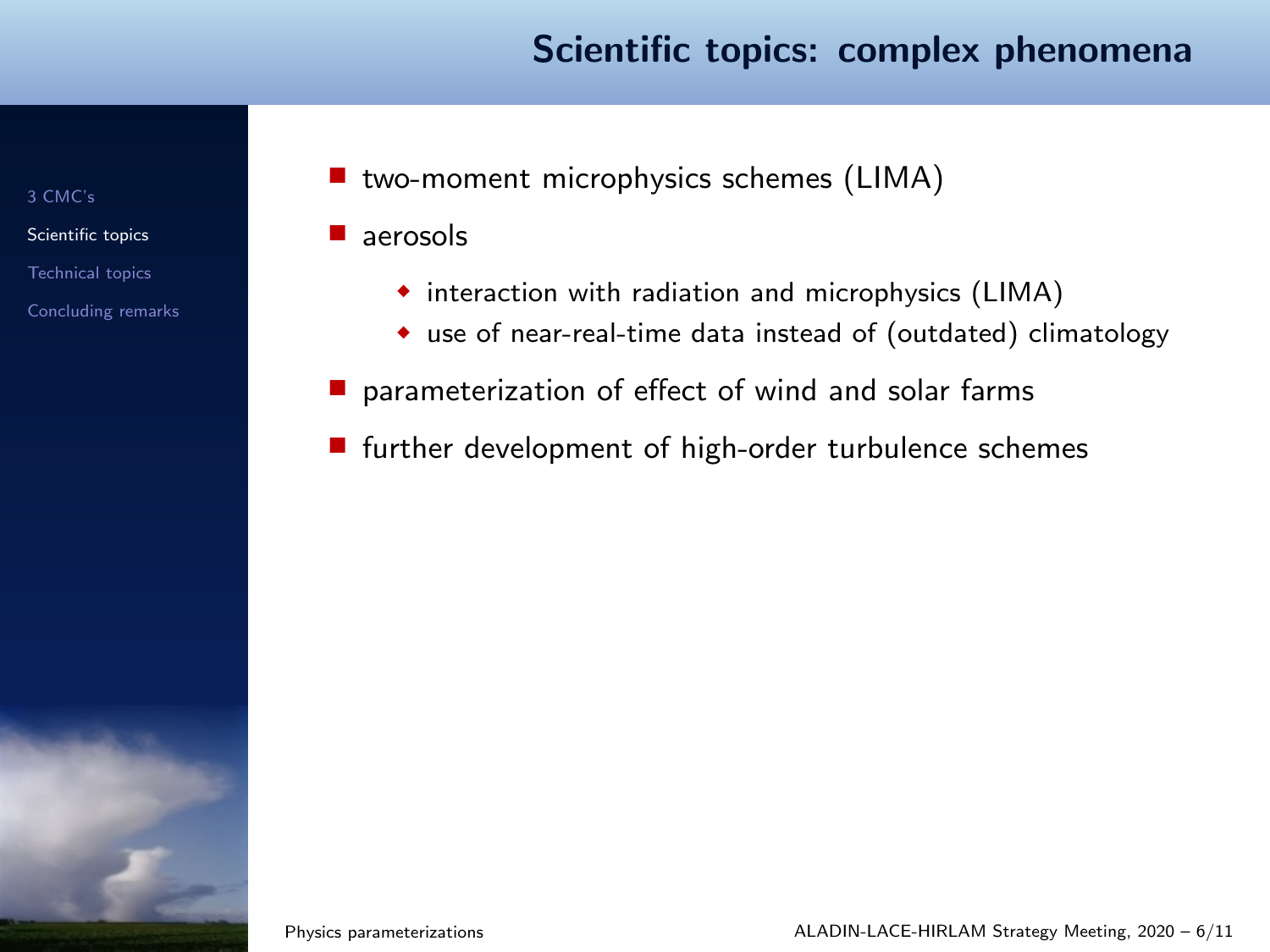#### Scientific topics: complex phenomena

[3 CMC's](#page-2-0)

[Scientific topics](#page-3-0)

[Technical topics](#page-12-0)

[Concluding remarks](#page-13-0)

■ two-moment microphysics schemes (LIMA)

■ aerosols

- ◆ interaction with radiation and microphysics (LIMA)
- ◆ use of near-real-time data instead of (outdated) climatology
- parameterization of effect of wind and solar farms
- further development of high-order turbulence schemes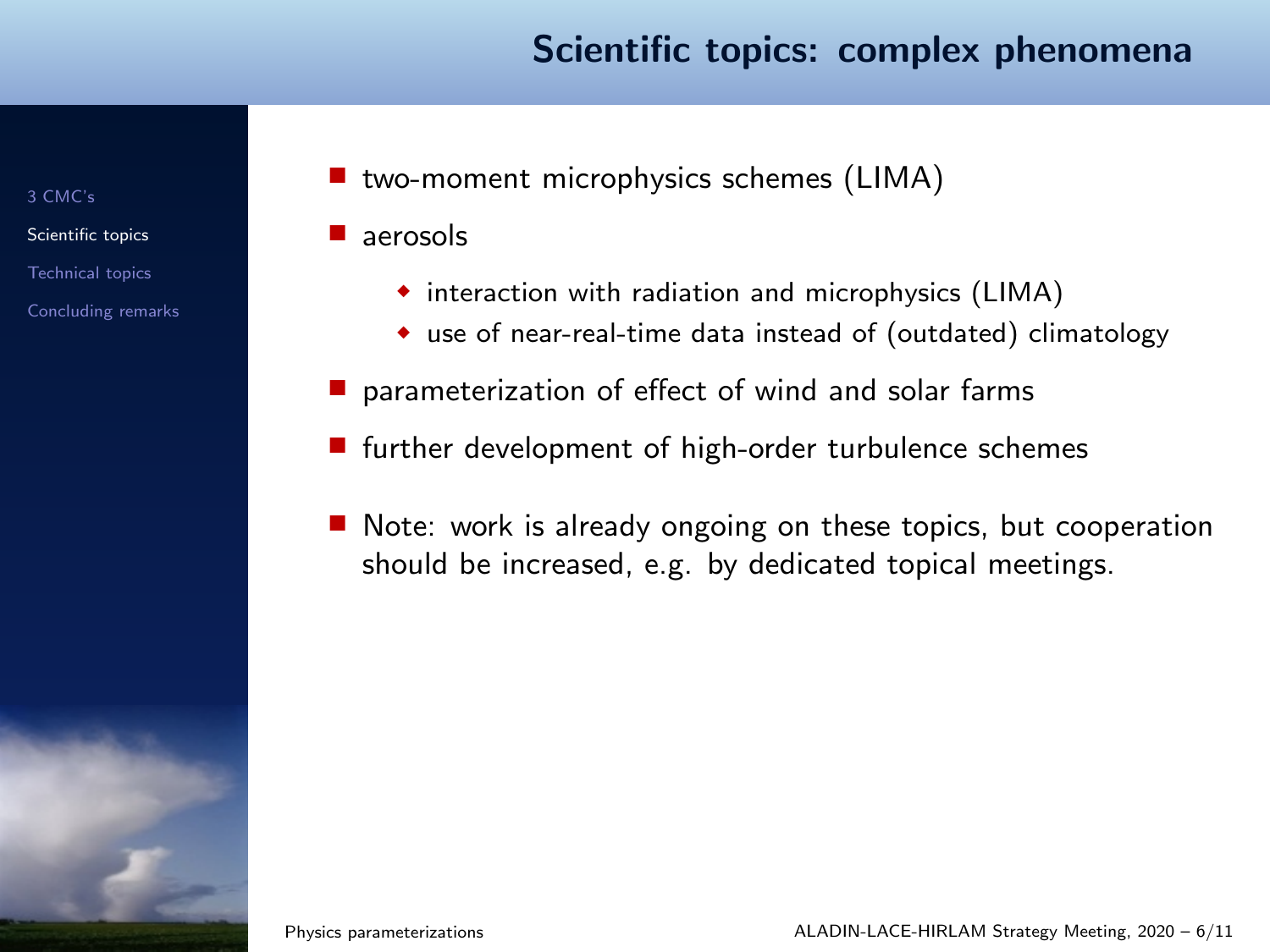#### Scientific topics: complex phenomena

[3 CMC's](#page-2-0)

[Scientific topics](#page-3-0)

[Technical topics](#page-12-0)

[Concluding remarks](#page-13-0)

■ two-moment microphysics schemes (LIMA)

■ aerosols

- ◆ interaction with radiation and microphysics (LIMA)
- ◆ use of near-real-time data instead of (outdated) climatology
- parameterization of effect of wind and solar farms
- further development of high-order turbulence schemes
- Note: work is already ongoing on these topics, but cooperation should be increased, e.g. by dedicated topical meetings.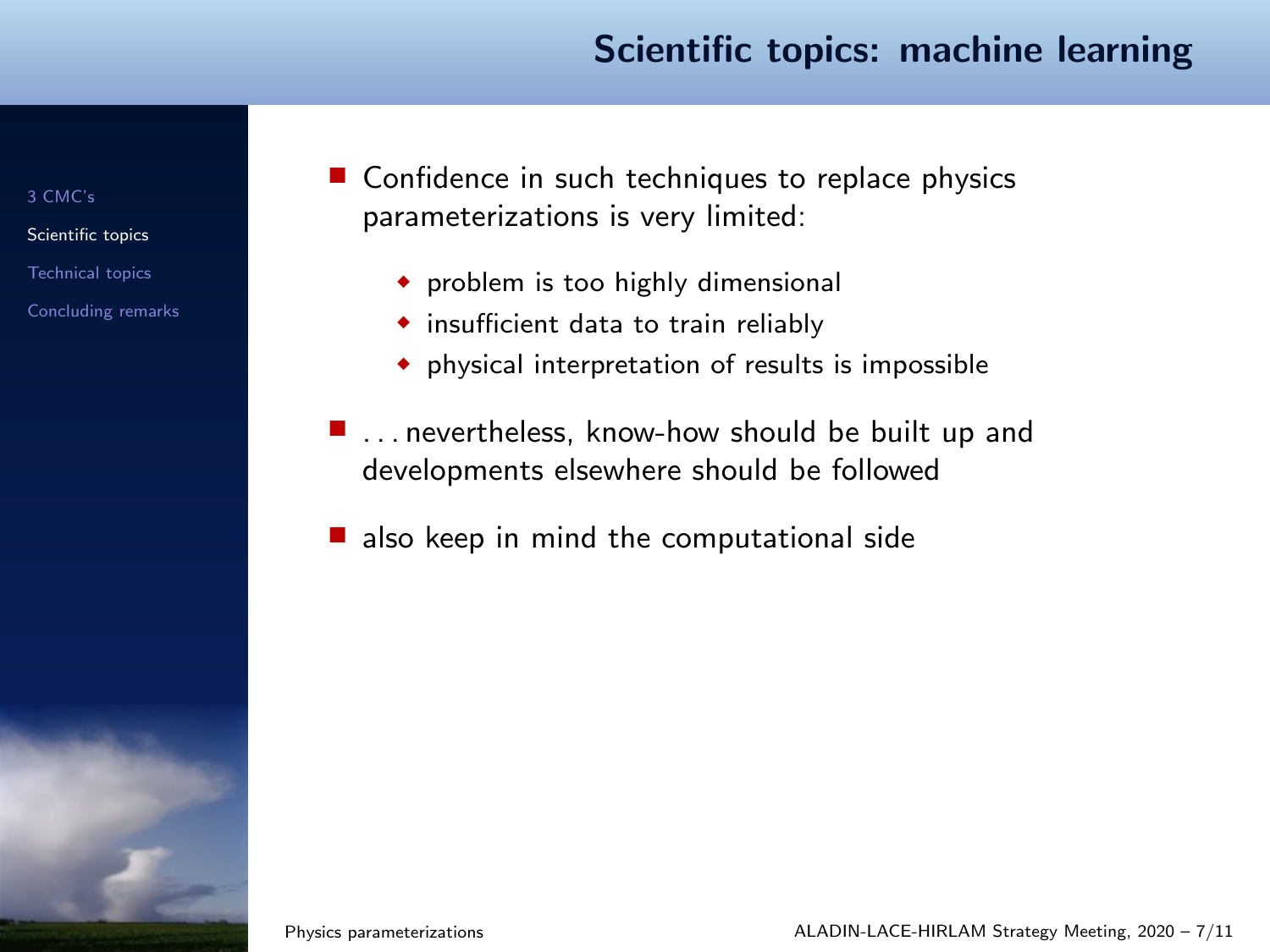#### Scientific topics: machine learning

[3 CMC's](#page-2-0)

[Scientific topics](#page-3-0)

[Technical topics](#page-12-0)

[Concluding remarks](#page-13-0)

■ Confidence in such techniques to replace physics parameterizations is very limited:

- ◆ problem is too highly dimensional
- ◆ insufficient data to train reliably
- ◆ physical interpretation of results is impossible
- $\blacksquare$  ... nevertheless, know-how should be built up and developments elsewhere should be followed
- also keep in mind the computational side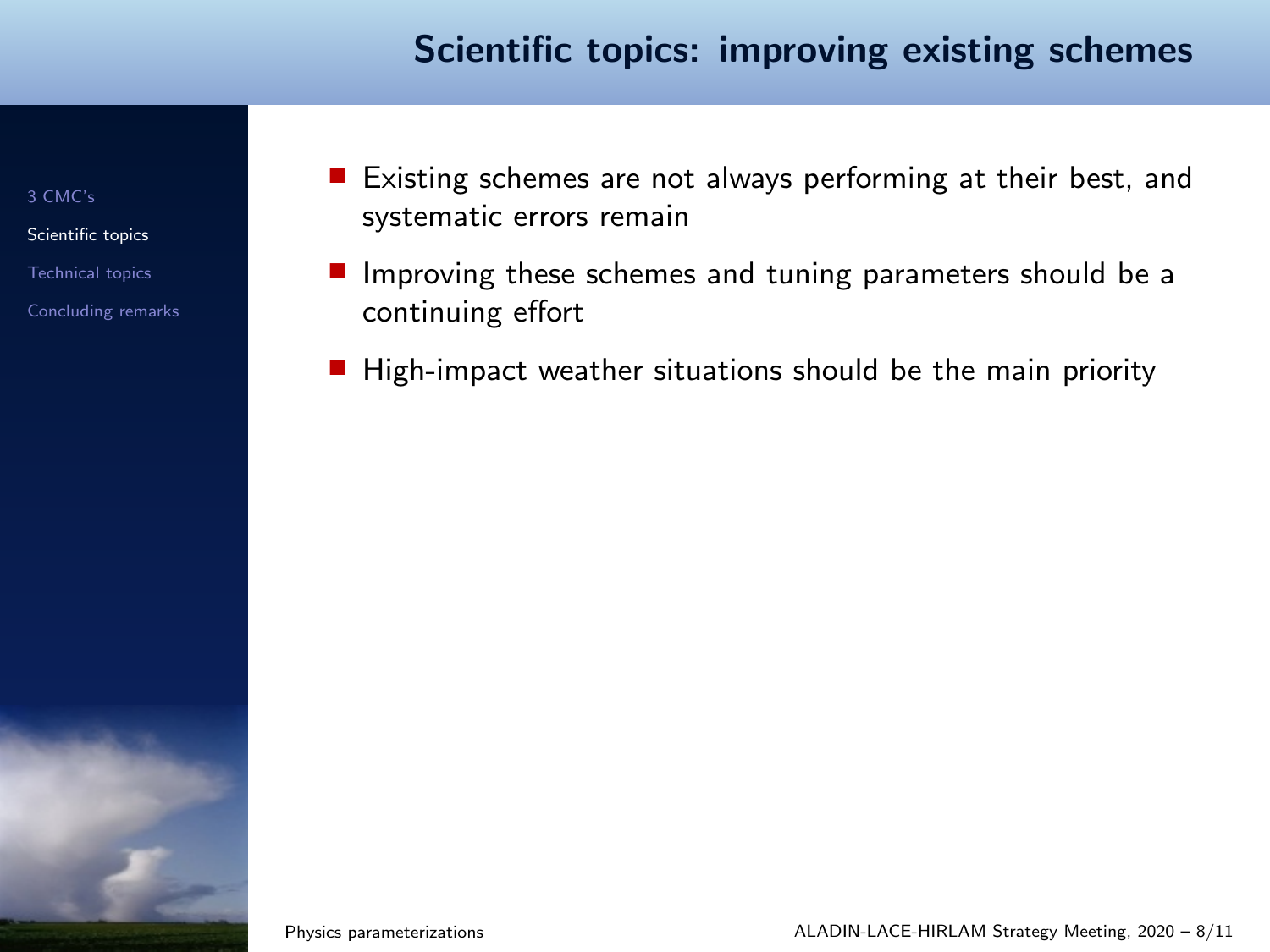#### Scientific topics: improving existing schemes

[3 CMC's](#page-2-0)

[Scientific topics](#page-3-0)

[Technical topics](#page-12-0)

- Existing schemes are not always performing at their best, and systematic errors remain
- Improving these schemes and tuning parameters should be a continuing effort
- High-impact weather situations should be the main priority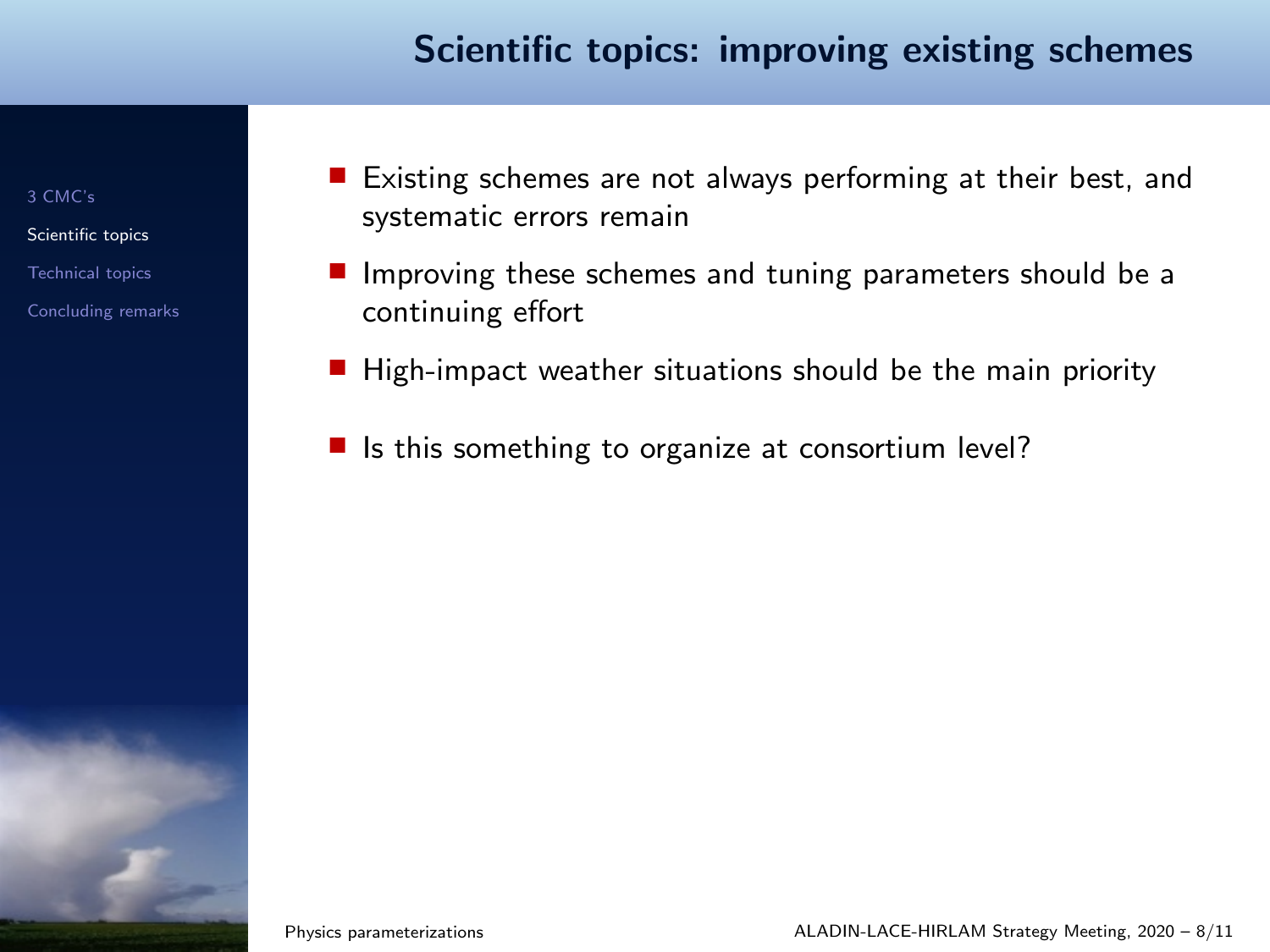#### Scientific topics: improving existing schemes

[3 CMC's](#page-2-0)

[Scientific topics](#page-3-0)

[Technical topics](#page-12-0)

- Existing schemes are not always performing at their best, and systematic errors remain
- Improving these schemes and tuning parameters should be a continuing effort
- High-impact weather situations should be the main priority
- Is this something to organize at consortium level?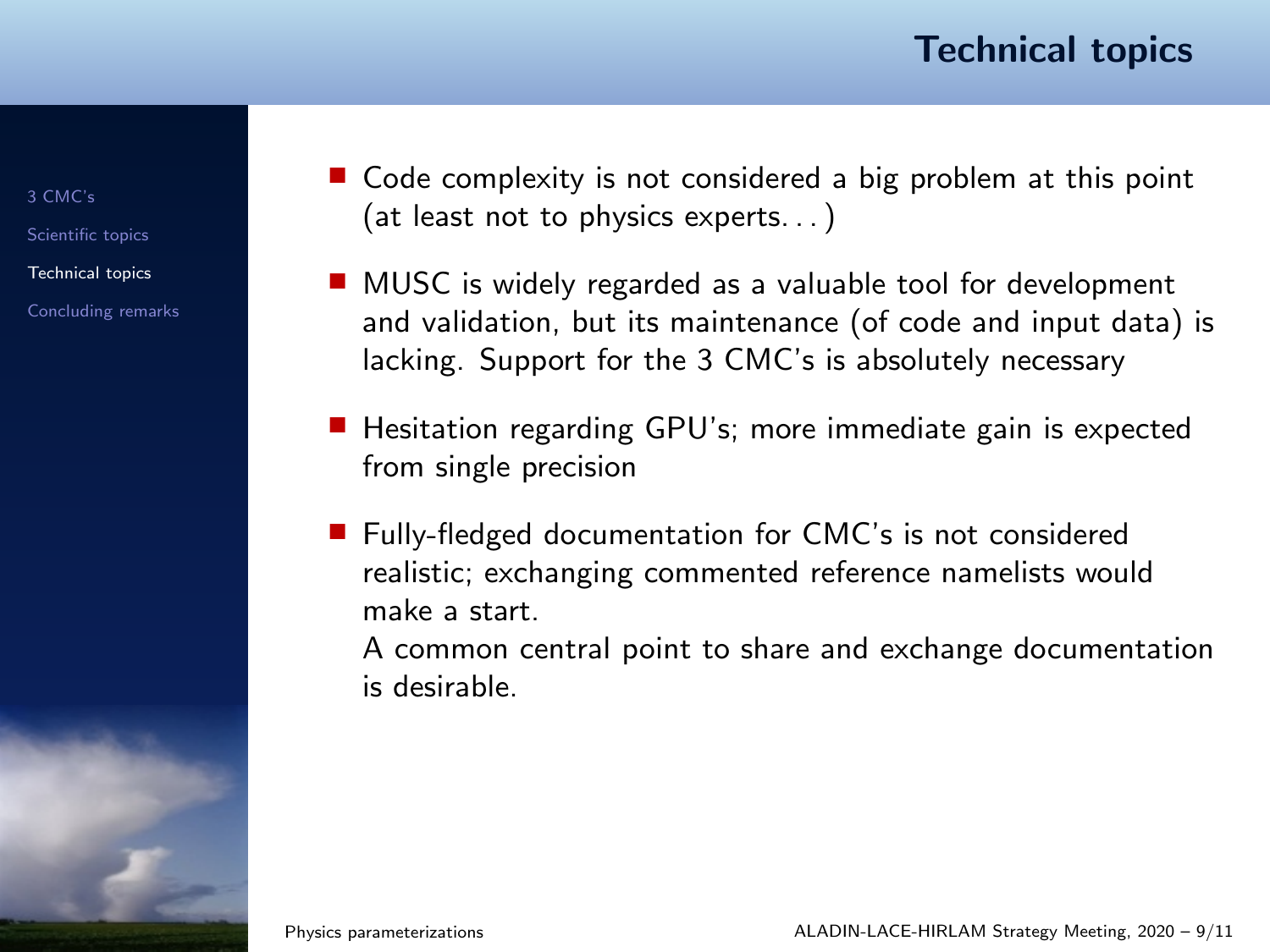#### Technical topics

[3 CMC's](#page-2-0)

[Scientific topics](#page-3-0)

[Technical topics](#page-12-0)

[Concluding remarks](#page-13-0)

- <span id="page-12-0"></span>■ Code complexity is not considered a big problem at this point (at least not to physics experts. . . )
- MUSC is widely regarded as a valuable tool for development and validation, but its maintenance (of code and input data) is lacking. Support for the 3 CMC's is absolutely necessary
- Hesitation regarding GPU's; more immediate gain is expected from single precision
- Fully-fledged documentation for CMC's is not considered realistic; exchanging commented reference namelists would make a start.

A common central point to share and exchange documentation is desirable.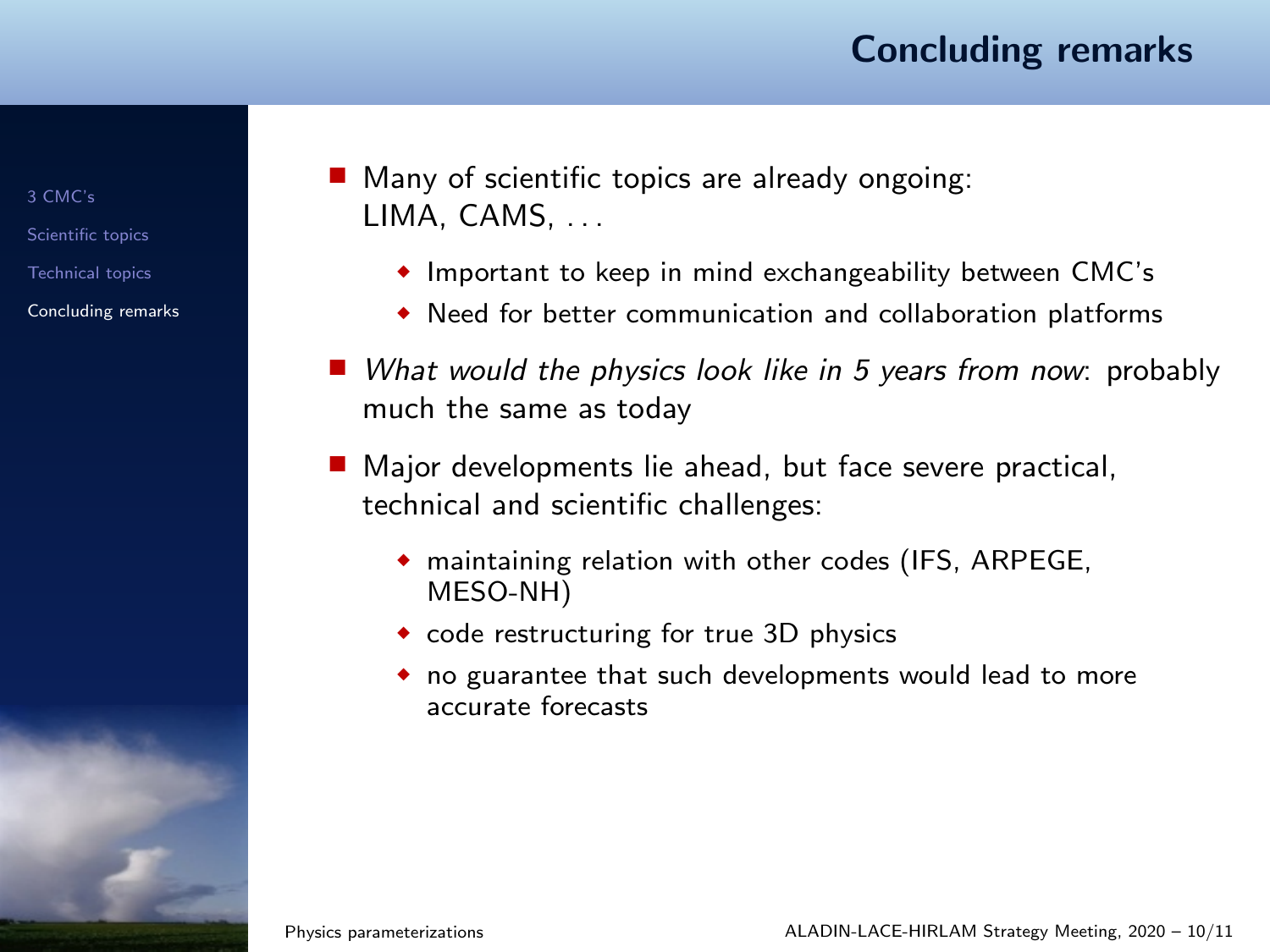#### Concluding remarks

[3 CMC's](#page-2-0) [Scientific topics](#page-3-0) [Technical topics](#page-12-0)

[Concluding remarks](#page-13-0)

<span id="page-13-0"></span>■ Many of scientific topics are already ongoing: LIMA, CAMS

- ◆ Important to keep in mind exchangeability between CMC's
- ◆ Need for better communication and collaboration platforms
- What would the physics look like in 5 years from now: probably much the same as today
- Major developments lie ahead, but face severe practical, technical and scientific challenges:
	- ◆ maintaining relation with other codes (IFS, ARPEGE, MESO-NH)
	- ◆ code restructuring for true 3D physics
	- ◆ no guarantee that such developments would lead to more accurate forecasts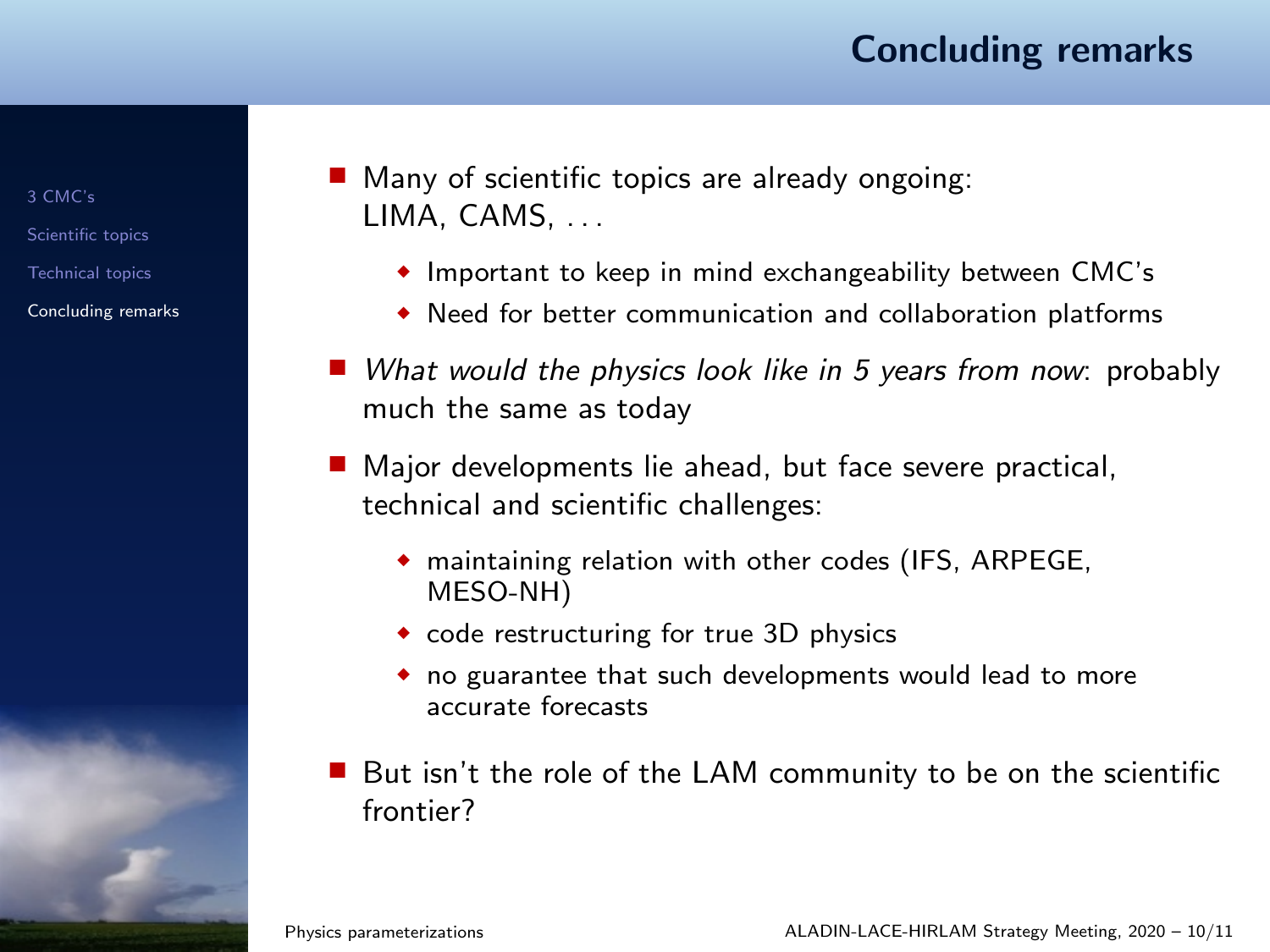#### Concluding remarks

[3 CMC's](#page-2-0) [Scientific topics](#page-3-0) [Technical topics](#page-12-0)

[Concluding remarks](#page-13-0)

■ Many of scientific topics are already ongoing: LIMA, CAMS

- ◆ Important to keep in mind exchangeability between CMC's
- ◆ Need for better communication and collaboration platforms
- What would the physics look like in 5 years from now: probably much the same as today
- Major developments lie ahead, but face severe practical, technical and scientific challenges:
	- ◆ maintaining relation with other codes (IFS, ARPEGE, MESO-NH)
	- ◆ code restructuring for true 3D physics
	- ◆ no guarantee that such developments would lead to more accurate forecasts
- But isn't the role of the LAM community to be on the scientific frontier?